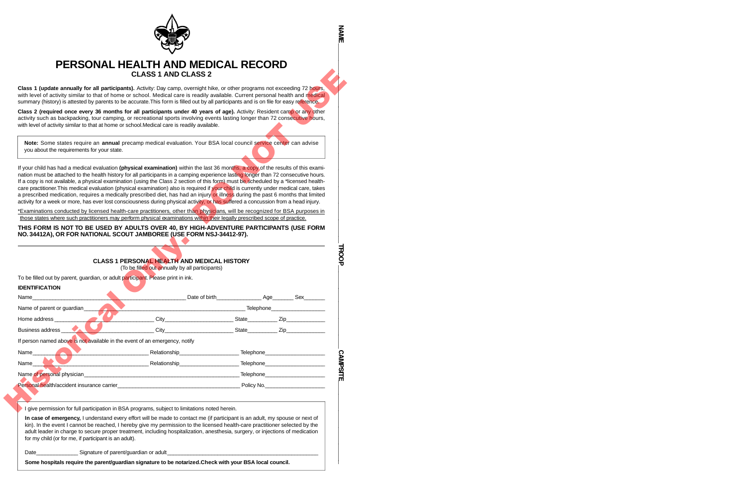

## **PERSONAL HEALTH AND MEDICAL RECORD CLASS 1 AND CLASS 2**

## THIS FORM IS NOT TO BE USED BY ADULTS OVER 40, BY HIGH-ADVENTURE PARTICIPANTS (USE FORM **N O.3 4 4 1 2 A ) , OR FOR NATIONAL SCOUT JAMBOREE (USE FORM NSJ-34412-97).**

|                                                                                                                                                                                                                                                                                                                                                                                                                                                                                                                                                                                                                                                                                                                                                                                                                                          | <b>CLASS 1 AND CLASS 2</b>                         |  |                             |  |  |  |
|------------------------------------------------------------------------------------------------------------------------------------------------------------------------------------------------------------------------------------------------------------------------------------------------------------------------------------------------------------------------------------------------------------------------------------------------------------------------------------------------------------------------------------------------------------------------------------------------------------------------------------------------------------------------------------------------------------------------------------------------------------------------------------------------------------------------------------------|----------------------------------------------------|--|-----------------------------|--|--|--|
| Class 1 (update annually for all participants). Activity: Day camp, overnight hike, or other programs not exceeding 72 hours,<br>with level of activity similar to that of home or school. Medical care is readily available. Current personal health and medical<br>summary (history) is attested by parents to be accurate. This form is filled out by all participants and is on file for easy reference.                                                                                                                                                                                                                                                                                                                                                                                                                             |                                                    |  |                             |  |  |  |
| Class 2 (required once every 36 months for all participants under 40 years of age). Activity: Resident camp or any other<br>activity such as backpacking, tour camping, or recreational sports involving events lasting longer than 72 consecutive hours,<br>with level of activity similar to that at home or school. Medical care is readily available.                                                                                                                                                                                                                                                                                                                                                                                                                                                                                |                                                    |  |                             |  |  |  |
| Note: Some states require an annual precamp medical evaluation. Your BSA local council service center can advise<br>you about the requirements for your state.                                                                                                                                                                                                                                                                                                                                                                                                                                                                                                                                                                                                                                                                           |                                                    |  |                             |  |  |  |
| If your child has had a medical evaluation (physical examination) within the last 36 months, a copy of the results of this exami-<br>nation must be attached to the health history for all participants in a camping experience lasting longer than 72 consecutive hours.<br>If a copy is not available, a physical examination (using the Class 2 section of this form) must be scheduled by a *licensed health-<br>care practitioner. This medical evaluation (physical examination) also is required if your child is currently under medical care, takes<br>a prescribed medication, requires a medically prescribed diet, has had an injury or illness during the past 6 months that limited<br>activity for a week or more, has ever lost consciousness during physical activity, or has suffered a concussion from a head injury. |                                                    |  |                             |  |  |  |
| *Examinations conducted by licensed health-care practitioners, other than physicians, will be recognized for BSA purposes in                                                                                                                                                                                                                                                                                                                                                                                                                                                                                                                                                                                                                                                                                                             |                                                    |  |                             |  |  |  |
| those states where such practitioners may perform physical examinations within their legally prescribed scope of practice.<br>THIS FORM IS NOT TO BE USED BY ADULTS OVER 40, BY HIGH-ADVENTURE PARTICIPANTS (USE FORM                                                                                                                                                                                                                                                                                                                                                                                                                                                                                                                                                                                                                    |                                                    |  |                             |  |  |  |
|                                                                                                                                                                                                                                                                                                                                                                                                                                                                                                                                                                                                                                                                                                                                                                                                                                          | <b>CLASS 1 PERSONAL HEALTH AND MEDICAL HISTORY</b> |  |                             |  |  |  |
|                                                                                                                                                                                                                                                                                                                                                                                                                                                                                                                                                                                                                                                                                                                                                                                                                                          | (To be filled out annually by all participants)    |  |                             |  |  |  |
|                                                                                                                                                                                                                                                                                                                                                                                                                                                                                                                                                                                                                                                                                                                                                                                                                                          |                                                    |  |                             |  |  |  |
|                                                                                                                                                                                                                                                                                                                                                                                                                                                                                                                                                                                                                                                                                                                                                                                                                                          |                                                    |  |                             |  |  |  |
|                                                                                                                                                                                                                                                                                                                                                                                                                                                                                                                                                                                                                                                                                                                                                                                                                                          | City                                               |  | <u>State Ziperman State</u> |  |  |  |
|                                                                                                                                                                                                                                                                                                                                                                                                                                                                                                                                                                                                                                                                                                                                                                                                                                          |                                                    |  | State <b>Zip Zip</b>        |  |  |  |
|                                                                                                                                                                                                                                                                                                                                                                                                                                                                                                                                                                                                                                                                                                                                                                                                                                          |                                                    |  |                             |  |  |  |
|                                                                                                                                                                                                                                                                                                                                                                                                                                                                                                                                                                                                                                                                                                                                                                                                                                          |                                                    |  |                             |  |  |  |
|                                                                                                                                                                                                                                                                                                                                                                                                                                                                                                                                                                                                                                                                                                                                                                                                                                          |                                                    |  |                             |  |  |  |
|                                                                                                                                                                                                                                                                                                                                                                                                                                                                                                                                                                                                                                                                                                                                                                                                                                          |                                                    |  |                             |  |  |  |
|                                                                                                                                                                                                                                                                                                                                                                                                                                                                                                                                                                                                                                                                                                                                                                                                                                          |                                                    |  |                             |  |  |  |
| Personal health/accident insurance carrier exercise the contract of the contract of Policy No.                                                                                                                                                                                                                                                                                                                                                                                                                                                                                                                                                                                                                                                                                                                                           |                                                    |  |                             |  |  |  |
| To be filled out by parent, guardian, or adult participant. Please print in ink.<br><b>IDENTIFICATION</b><br>Name <b>Name</b><br>Name of parent or guardian<br>Home address<br>Business address<br>If person named above is not available in the event of an emergency, notify<br>Name<br>Name_<br>Name of personal physician executive contract to the contract of the Telephone Telephone Telephone and the contract of the contract of the contract of the contract of the contract of the contract of the contract of the con<br>I give permission for full participation in BSA programs, subject to limitations noted herein.                                                                                                                                                                                                      |                                                    |  |                             |  |  |  |
| In case of emergency, I understand every effort will be made to contact me (if participant is an adult, my spouse or next of<br>kin). In the event I cannot be reached, I hereby give my permission to the licensed health-care practitioner selected by the<br>adult leader in charge to secure proper treatment, including hospitalization, anesthesia, surgery, or injections of medication<br>for my child (or for me, if participant is an adult).                                                                                                                                                                                                                                                                                                                                                                                  |                                                    |  |                             |  |  |  |

Some hospitals require the parent/quardian signature to be notarized. Check with your BSA local council.